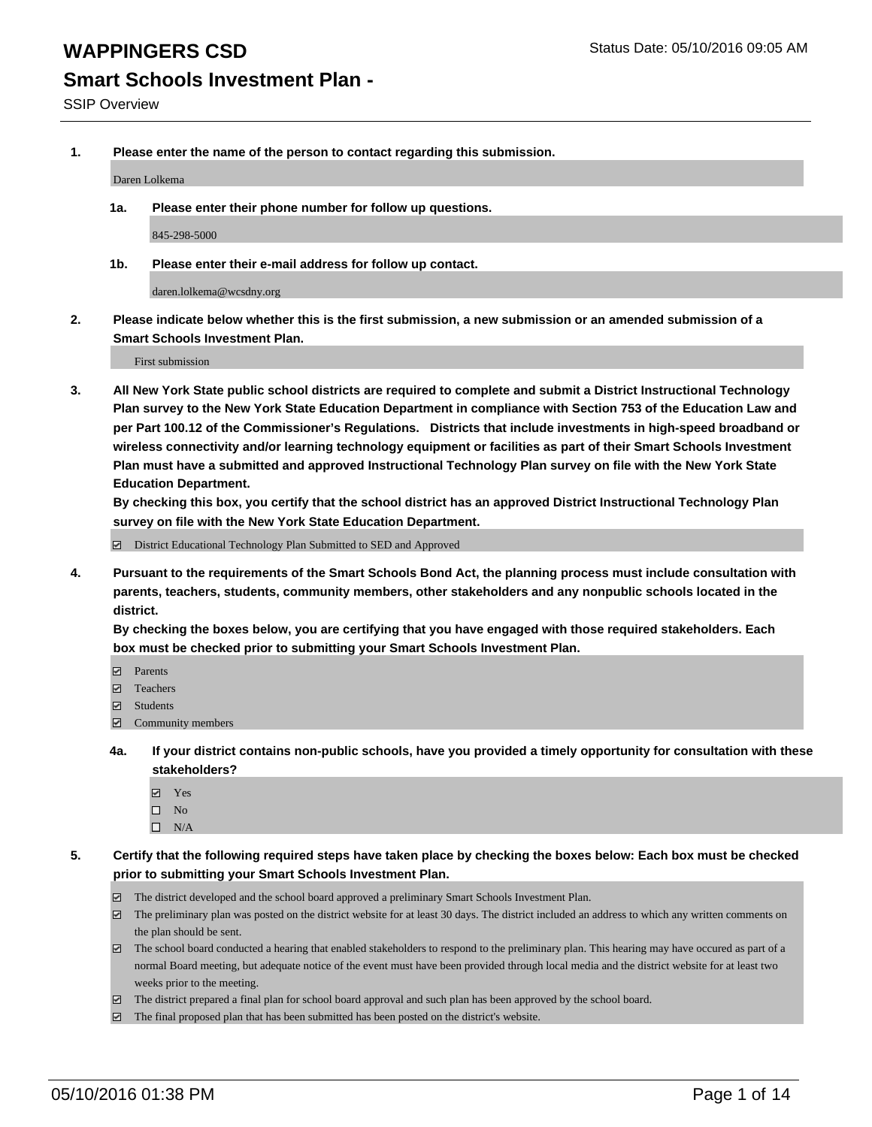## **Smart Schools Investment Plan -**

**1. Please enter the name of the person to contact regarding this submission.**

Daren Lolkema

**1a. Please enter their phone number for follow up questions.**

845-298-5000

**1b. Please enter their e-mail address for follow up contact.**

daren.lolkema@wcsdny.org

**2. Please indicate below whether this is the first submission, a new submission or an amended submission of a Smart Schools Investment Plan.**

First submission

**3. All New York State public school districts are required to complete and submit a District Instructional Technology Plan survey to the New York State Education Department in compliance with Section 753 of the Education Law and per Part 100.12 of the Commissioner's Regulations. Districts that include investments in high-speed broadband or wireless connectivity and/or learning technology equipment or facilities as part of their Smart Schools Investment Plan must have a submitted and approved Instructional Technology Plan survey on file with the New York State Education Department.** 

**By checking this box, you certify that the school district has an approved District Instructional Technology Plan survey on file with the New York State Education Department.**

■ District Educational Technology Plan Submitted to SED and Approved

**4. Pursuant to the requirements of the Smart Schools Bond Act, the planning process must include consultation with parents, teachers, students, community members, other stakeholders and any nonpublic schools located in the district.** 

**By checking the boxes below, you are certifying that you have engaged with those required stakeholders. Each box must be checked prior to submitting your Smart Schools Investment Plan.**

- **Parents**
- □ Teachers
- Students
- $\boxdot$  Community members
- **4a. If your district contains non-public schools, have you provided a timely opportunity for consultation with these stakeholders?**
	- Yes
	- $\square$  No
	- $\Box$  N/A
- **5. Certify that the following required steps have taken place by checking the boxes below: Each box must be checked prior to submitting your Smart Schools Investment Plan.**
	- The district developed and the school board approved a preliminary Smart Schools Investment Plan.
	- The preliminary plan was posted on the district website for at least 30 days. The district included an address to which any written comments on the plan should be sent.
	- $\Box$  The school board conducted a hearing that enabled stakeholders to respond to the preliminary plan. This hearing may have occured as part of a normal Board meeting, but adequate notice of the event must have been provided through local media and the district website for at least two weeks prior to the meeting.
	- The district prepared a final plan for school board approval and such plan has been approved by the school board.
	- The final proposed plan that has been submitted has been posted on the district's website.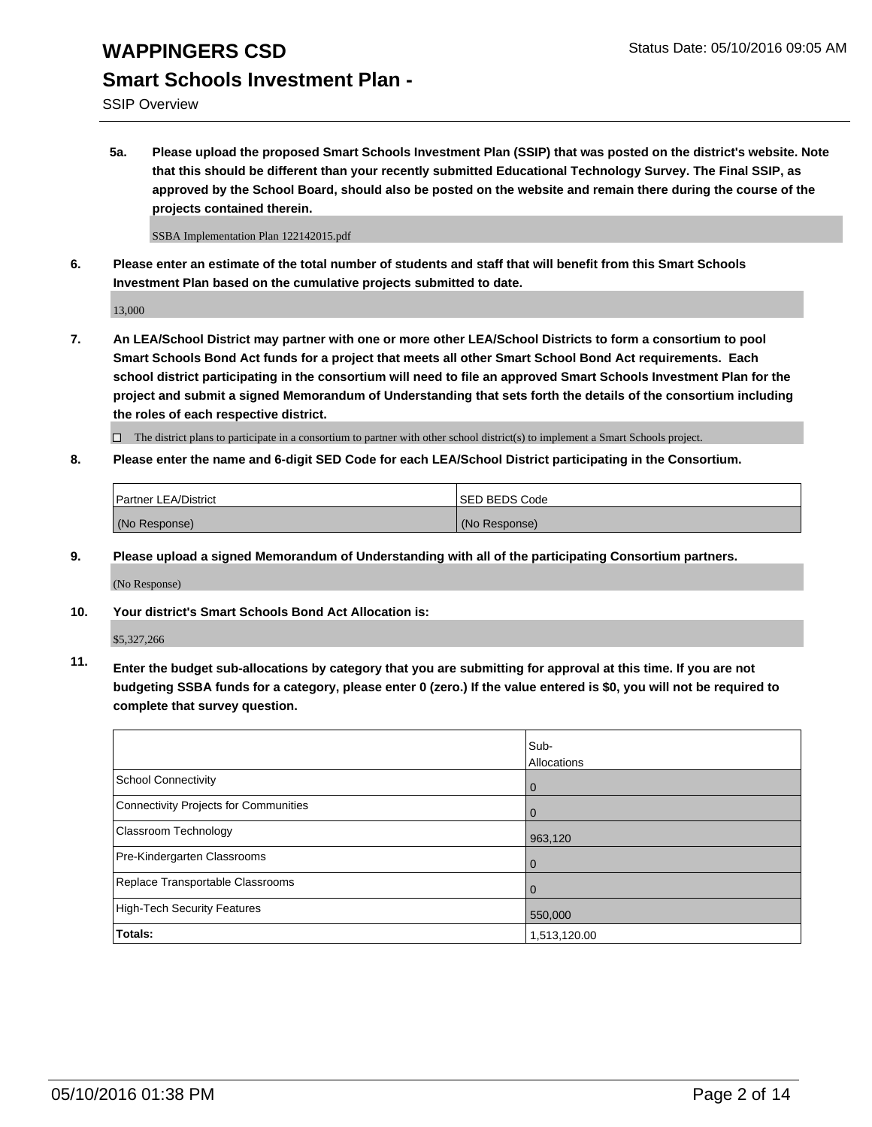SSIP Overview

**5a. Please upload the proposed Smart Schools Investment Plan (SSIP) that was posted on the district's website. Note that this should be different than your recently submitted Educational Technology Survey. The Final SSIP, as approved by the School Board, should also be posted on the website and remain there during the course of the projects contained therein.**

SSBA Implementation Plan 122142015.pdf

**6. Please enter an estimate of the total number of students and staff that will benefit from this Smart Schools Investment Plan based on the cumulative projects submitted to date.**

13,000

**7. An LEA/School District may partner with one or more other LEA/School Districts to form a consortium to pool Smart Schools Bond Act funds for a project that meets all other Smart School Bond Act requirements. Each school district participating in the consortium will need to file an approved Smart Schools Investment Plan for the project and submit a signed Memorandum of Understanding that sets forth the details of the consortium including the roles of each respective district.**

 $\Box$  The district plans to participate in a consortium to partner with other school district(s) to implement a Smart Schools project.

**8. Please enter the name and 6-digit SED Code for each LEA/School District participating in the Consortium.**

| Partner LEA/District | <b>ISED BEDS Code</b> |
|----------------------|-----------------------|
| (No Response)        | (No Response)         |

**9. Please upload a signed Memorandum of Understanding with all of the participating Consortium partners.**

(No Response)

**10. Your district's Smart Schools Bond Act Allocation is:**

\$5,327,266

**11. Enter the budget sub-allocations by category that you are submitting for approval at this time. If you are not budgeting SSBA funds for a category, please enter 0 (zero.) If the value entered is \$0, you will not be required to complete that survey question.**

|                                       | Sub-<br>Allocations |
|---------------------------------------|---------------------|
| School Connectivity                   | 0                   |
| Connectivity Projects for Communities |                     |
| <b>Classroom Technology</b>           | 963,120             |
| Pre-Kindergarten Classrooms           | $\Omega$            |
| Replace Transportable Classrooms      | O                   |
| High-Tech Security Features           | 550,000             |
| Totals:                               | 1,513,120.00        |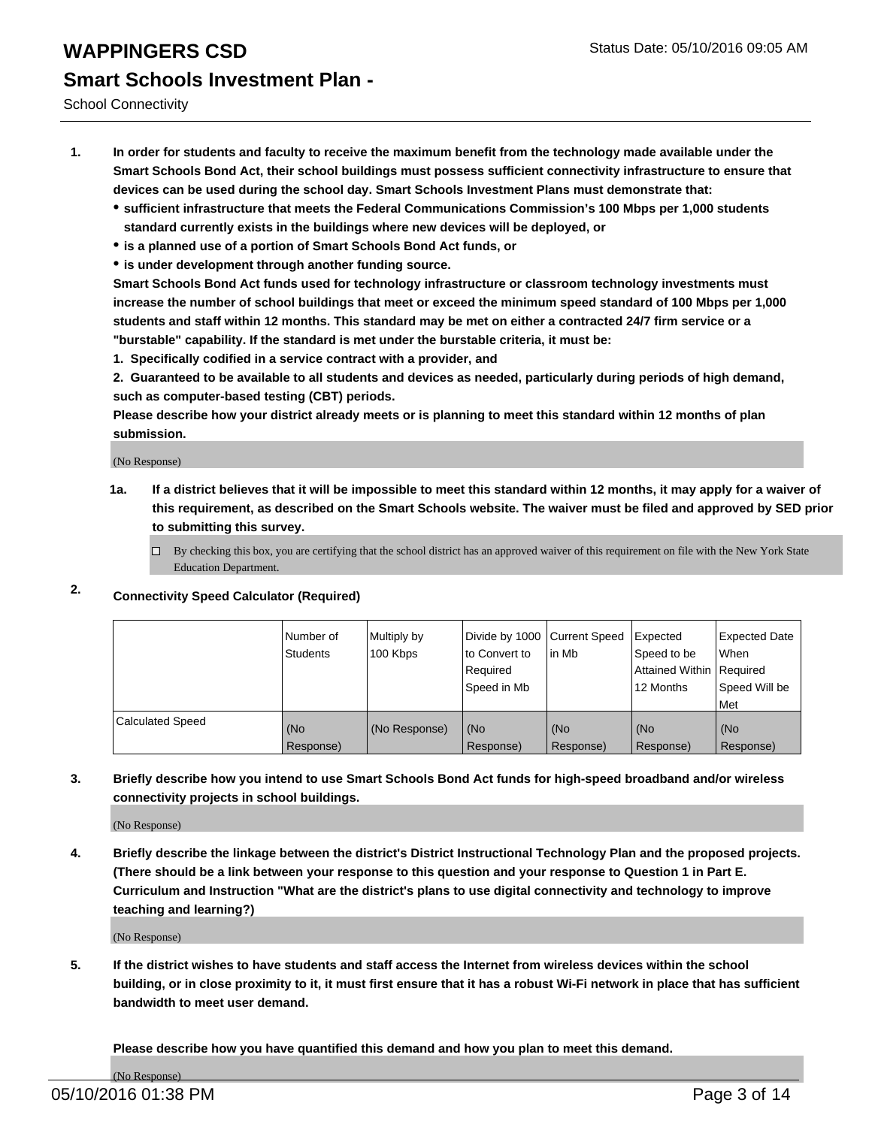School Connectivity

- **1. In order for students and faculty to receive the maximum benefit from the technology made available under the Smart Schools Bond Act, their school buildings must possess sufficient connectivity infrastructure to ensure that devices can be used during the school day. Smart Schools Investment Plans must demonstrate that:**
	- **sufficient infrastructure that meets the Federal Communications Commission's 100 Mbps per 1,000 students standard currently exists in the buildings where new devices will be deployed, or**
	- **is a planned use of a portion of Smart Schools Bond Act funds, or**
	- **is under development through another funding source.**

**Smart Schools Bond Act funds used for technology infrastructure or classroom technology investments must increase the number of school buildings that meet or exceed the minimum speed standard of 100 Mbps per 1,000 students and staff within 12 months. This standard may be met on either a contracted 24/7 firm service or a "burstable" capability. If the standard is met under the burstable criteria, it must be:**

**1. Specifically codified in a service contract with a provider, and**

**2. Guaranteed to be available to all students and devices as needed, particularly during periods of high demand, such as computer-based testing (CBT) periods.**

**Please describe how your district already meets or is planning to meet this standard within 12 months of plan submission.**

(No Response)

- **1a. If a district believes that it will be impossible to meet this standard within 12 months, it may apply for a waiver of this requirement, as described on the Smart Schools website. The waiver must be filed and approved by SED prior to submitting this survey.**
	- □ By checking this box, you are certifying that the school district has an approved waiver of this requirement on file with the New York State Education Department.
- **2. Connectivity Speed Calculator (Required)**

|                         | Number of<br>Students | Multiply by<br>100 Kbps | Divide by 1000 Current Speed<br>to Convert to<br>Required<br>Speed in Mb | lin Mb           | Expected<br>Speed to be<br>Attained Within   Required<br>12 Months | <b>Expected Date</b><br>l When<br>Speed Will be<br>l Met |
|-------------------------|-----------------------|-------------------------|--------------------------------------------------------------------------|------------------|--------------------------------------------------------------------|----------------------------------------------------------|
| <b>Calculated Speed</b> | (No<br>Response)      | (No Response)           | (No<br>Response)                                                         | (No<br>Response) | (No<br>Response)                                                   | l (No<br>Response)                                       |

### **3. Briefly describe how you intend to use Smart Schools Bond Act funds for high-speed broadband and/or wireless connectivity projects in school buildings.**

(No Response)

**4. Briefly describe the linkage between the district's District Instructional Technology Plan and the proposed projects. (There should be a link between your response to this question and your response to Question 1 in Part E. Curriculum and Instruction "What are the district's plans to use digital connectivity and technology to improve teaching and learning?)**

(No Response)

**5. If the district wishes to have students and staff access the Internet from wireless devices within the school building, or in close proximity to it, it must first ensure that it has a robust Wi-Fi network in place that has sufficient bandwidth to meet user demand.**

**Please describe how you have quantified this demand and how you plan to meet this demand.**

(No Response)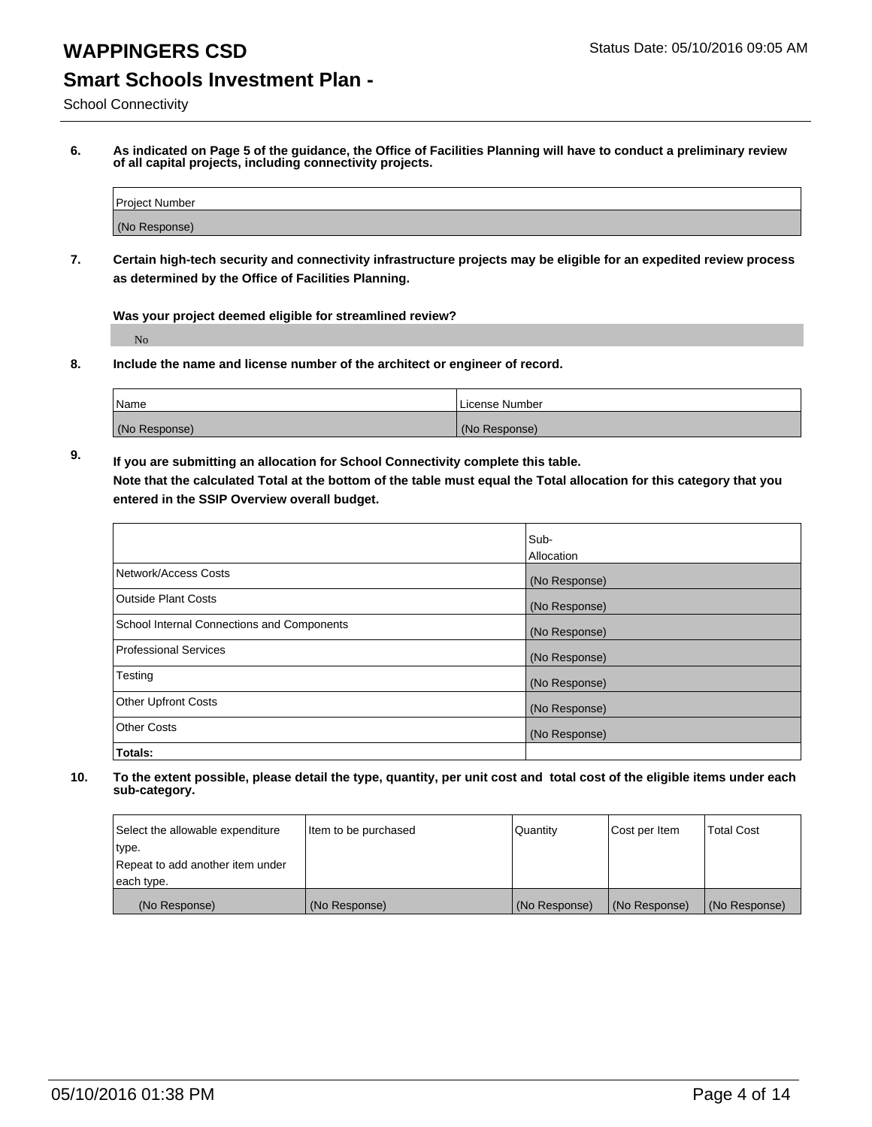# **Smart Schools Investment Plan -**

School Connectivity

**6. As indicated on Page 5 of the guidance, the Office of Facilities Planning will have to conduct a preliminary review of all capital projects, including connectivity projects.**

| <b>Project Number</b> |  |
|-----------------------|--|
| (No Response)         |  |

**7. Certain high-tech security and connectivity infrastructure projects may be eligible for an expedited review process as determined by the Office of Facilities Planning.**

**Was your project deemed eligible for streamlined review?**

No

**8. Include the name and license number of the architect or engineer of record.**

| <sup>1</sup> Name | l License Number |
|-------------------|------------------|
| (No Response)     | (No Response)    |

**9. If you are submitting an allocation for School Connectivity complete this table. Note that the calculated Total at the bottom of the table must equal the Total allocation for this category that you entered in the SSIP Overview overall budget.** 

|                                            | Sub-          |
|--------------------------------------------|---------------|
|                                            | Allocation    |
| Network/Access Costs                       | (No Response) |
| <b>Outside Plant Costs</b>                 | (No Response) |
| School Internal Connections and Components | (No Response) |
| <b>Professional Services</b>               | (No Response) |
| Testing                                    | (No Response) |
| <b>Other Upfront Costs</b>                 | (No Response) |
| <b>Other Costs</b>                         | (No Response) |
| Totals:                                    |               |

| Select the allowable expenditure | Item to be purchased | Quantity      | Cost per Item | <b>Total Cost</b> |
|----------------------------------|----------------------|---------------|---------------|-------------------|
| type.                            |                      |               |               |                   |
| Repeat to add another item under |                      |               |               |                   |
| each type.                       |                      |               |               |                   |
| (No Response)                    | (No Response)        | (No Response) | (No Response) | (No Response)     |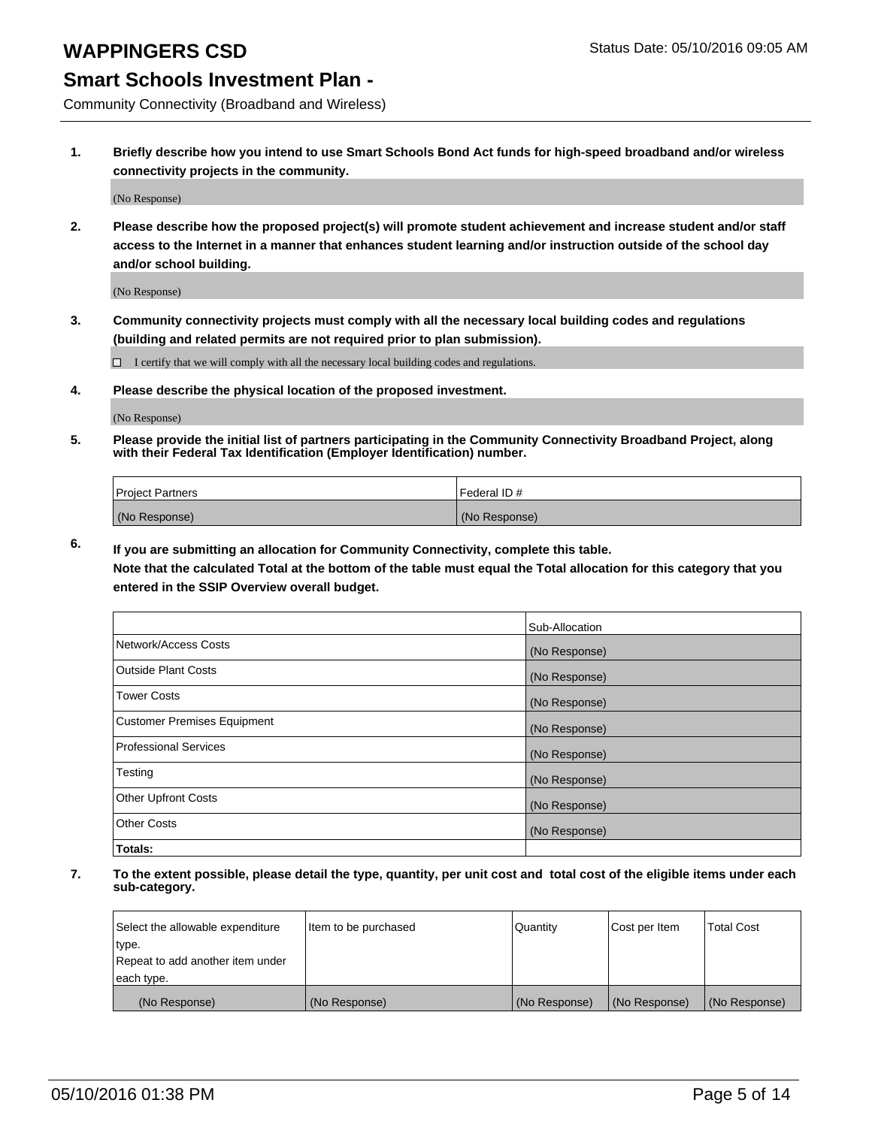## **WAPPINGERS CSD** Status Date: 05/10/2016 09:05 AM

### **Smart Schools Investment Plan -**

Community Connectivity (Broadband and Wireless)

**1. Briefly describe how you intend to use Smart Schools Bond Act funds for high-speed broadband and/or wireless connectivity projects in the community.**

(No Response)

**2. Please describe how the proposed project(s) will promote student achievement and increase student and/or staff access to the Internet in a manner that enhances student learning and/or instruction outside of the school day and/or school building.**

(No Response)

**3. Community connectivity projects must comply with all the necessary local building codes and regulations (building and related permits are not required prior to plan submission).**

 $\Box$  I certify that we will comply with all the necessary local building codes and regulations.

**4. Please describe the physical location of the proposed investment.**

(No Response)

**5. Please provide the initial list of partners participating in the Community Connectivity Broadband Project, along with their Federal Tax Identification (Employer Identification) number.**

| <b>Project Partners</b> | I Federal ID # |
|-------------------------|----------------|
| (No Response)           | (No Response)  |

**6. If you are submitting an allocation for Community Connectivity, complete this table.**

**Note that the calculated Total at the bottom of the table must equal the Total allocation for this category that you entered in the SSIP Overview overall budget.**

|                             | Sub-Allocation |
|-----------------------------|----------------|
| Network/Access Costs        | (No Response)  |
| <b>Outside Plant Costs</b>  | (No Response)  |
| <b>Tower Costs</b>          | (No Response)  |
| Customer Premises Equipment | (No Response)  |
| Professional Services       | (No Response)  |
| Testing                     | (No Response)  |
| <b>Other Upfront Costs</b>  | (No Response)  |
| Other Costs                 | (No Response)  |
| Totals:                     |                |

| Select the allowable expenditure | Item to be purchased | l Quantitv    | Cost per Item | <b>Total Cost</b> |
|----------------------------------|----------------------|---------------|---------------|-------------------|
| type.                            |                      |               |               |                   |
| Repeat to add another item under |                      |               |               |                   |
| each type.                       |                      |               |               |                   |
| (No Response)                    | (No Response)        | (No Response) | (No Response) | (No Response)     |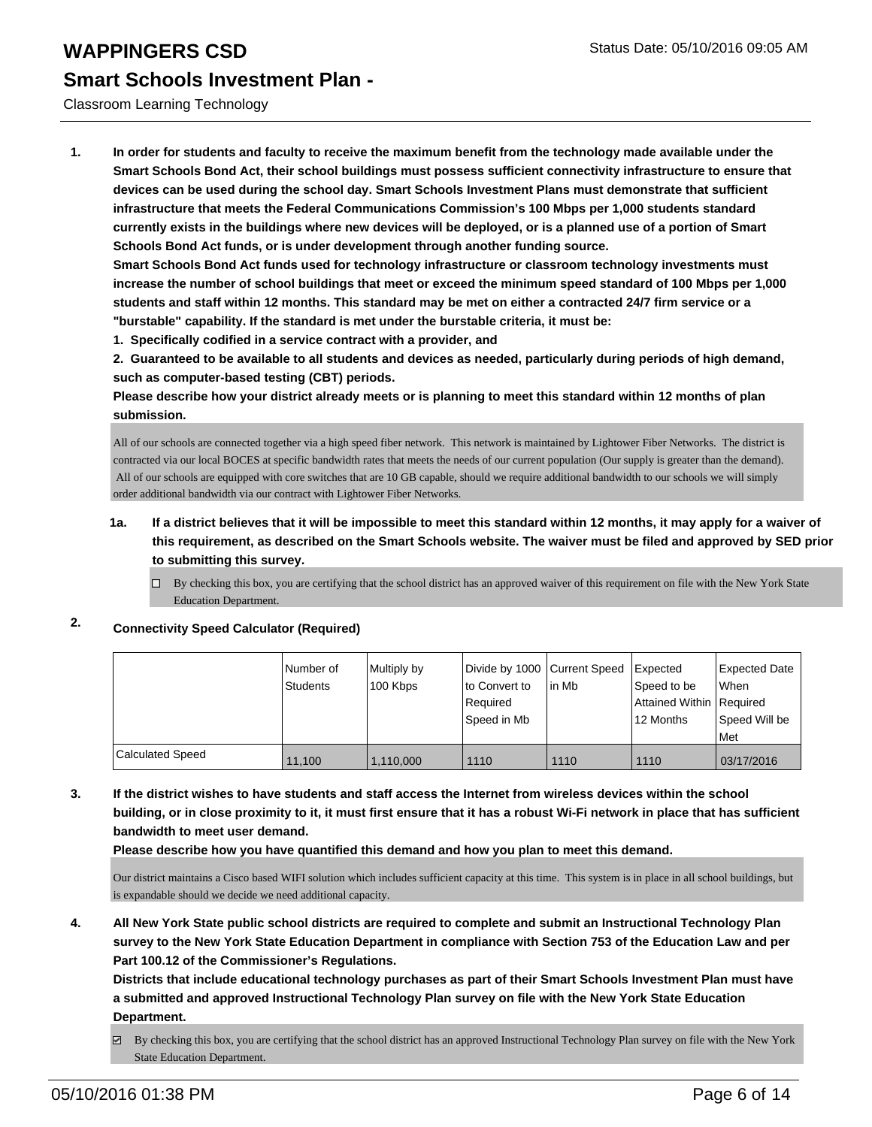### Classroom Learning Technology

**1. In order for students and faculty to receive the maximum benefit from the technology made available under the Smart Schools Bond Act, their school buildings must possess sufficient connectivity infrastructure to ensure that devices can be used during the school day. Smart Schools Investment Plans must demonstrate that sufficient infrastructure that meets the Federal Communications Commission's 100 Mbps per 1,000 students standard currently exists in the buildings where new devices will be deployed, or is a planned use of a portion of Smart Schools Bond Act funds, or is under development through another funding source.**

**Smart Schools Bond Act funds used for technology infrastructure or classroom technology investments must increase the number of school buildings that meet or exceed the minimum speed standard of 100 Mbps per 1,000 students and staff within 12 months. This standard may be met on either a contracted 24/7 firm service or a "burstable" capability. If the standard is met under the burstable criteria, it must be:**

**1. Specifically codified in a service contract with a provider, and**

**2. Guaranteed to be available to all students and devices as needed, particularly during periods of high demand, such as computer-based testing (CBT) periods.**

**Please describe how your district already meets or is planning to meet this standard within 12 months of plan submission.**

All of our schools are connected together via a high speed fiber network. This network is maintained by Lightower Fiber Networks. The district is contracted via our local BOCES at specific bandwidth rates that meets the needs of our current population (Our supply is greater than the demand). All of our schools are equipped with core switches that are 10 GB capable, should we require additional bandwidth to our schools we will simply order additional bandwidth via our contract with Lightower Fiber Networks.

### **1a. If a district believes that it will be impossible to meet this standard within 12 months, it may apply for a waiver of this requirement, as described on the Smart Schools website. The waiver must be filed and approved by SED prior to submitting this survey.**

 $\Box$  By checking this box, you are certifying that the school district has an approved waiver of this requirement on file with the New York State Education Department.

### **2. Connectivity Speed Calculator (Required)**

|                         | INumber of<br>Students | Multiply by<br>100 Kbps | Ito Convert to<br>Reauired<br>Speed in Mb | Divide by 1000 Current Speed Expected<br>lin Mb | Speed to be<br>Attained Within   Required<br>12 Months | <b>Expected Date</b><br>l When<br>Speed Will be |
|-------------------------|------------------------|-------------------------|-------------------------------------------|-------------------------------------------------|--------------------------------------------------------|-------------------------------------------------|
|                         |                        |                         |                                           |                                                 |                                                        | l Met                                           |
| <b>Calculated Speed</b> | 11.100                 | 1.110.000               | 1110                                      | 1110                                            | 1110                                                   | 03/17/2016                                      |

**3. If the district wishes to have students and staff access the Internet from wireless devices within the school building, or in close proximity to it, it must first ensure that it has a robust Wi-Fi network in place that has sufficient bandwidth to meet user demand.**

**Please describe how you have quantified this demand and how you plan to meet this demand.**

Our district maintains a Cisco based WIFI solution which includes sufficient capacity at this time. This system is in place in all school buildings, but is expandable should we decide we need additional capacity.

**4. All New York State public school districts are required to complete and submit an Instructional Technology Plan survey to the New York State Education Department in compliance with Section 753 of the Education Law and per Part 100.12 of the Commissioner's Regulations.**

**Districts that include educational technology purchases as part of their Smart Schools Investment Plan must have a submitted and approved Instructional Technology Plan survey on file with the New York State Education Department.**

By checking this box, you are certifying that the school district has an approved Instructional Technology Plan survey on file with the New York State Education Department.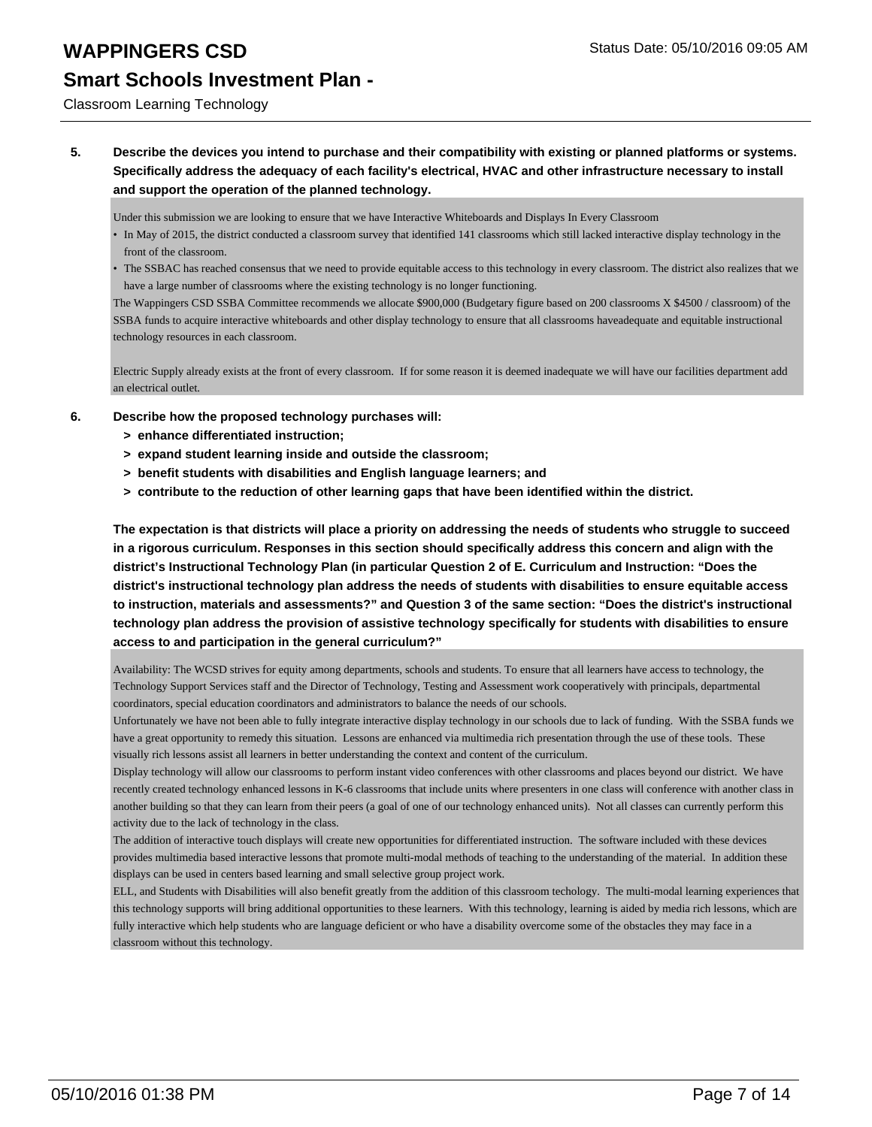### Classroom Learning Technology

**5. Describe the devices you intend to purchase and their compatibility with existing or planned platforms or systems. Specifically address the adequacy of each facility's electrical, HVAC and other infrastructure necessary to install and support the operation of the planned technology.**

Under this submission we are looking to ensure that we have Interactive Whiteboards and Displays In Every Classroom

- In May of 2015, the district conducted a classroom survey that identified 141 classrooms which still lacked interactive display technology in the front of the classroom.
- The SSBAC has reached consensus that we need to provide equitable access to this technology in every classroom. The district also realizes that we have a large number of classrooms where the existing technology is no longer functioning.

The Wappingers CSD SSBA Committee recommends we allocate \$900,000 (Budgetary figure based on 200 classrooms X \$4500 / classroom) of the SSBA funds to acquire interactive whiteboards and other display technology to ensure that all classrooms haveadequate and equitable instructional technology resources in each classroom.

Electric Supply already exists at the front of every classroom. If for some reason it is deemed inadequate we will have our facilities department add an electrical outlet.

- **6. Describe how the proposed technology purchases will:**
	- **> enhance differentiated instruction;**
	- **> expand student learning inside and outside the classroom;**
	- **> benefit students with disabilities and English language learners; and**
	- **> contribute to the reduction of other learning gaps that have been identified within the district.**

**The expectation is that districts will place a priority on addressing the needs of students who struggle to succeed in a rigorous curriculum. Responses in this section should specifically address this concern and align with the district's Instructional Technology Plan (in particular Question 2 of E. Curriculum and Instruction: "Does the district's instructional technology plan address the needs of students with disabilities to ensure equitable access to instruction, materials and assessments?" and Question 3 of the same section: "Does the district's instructional technology plan address the provision of assistive technology specifically for students with disabilities to ensure access to and participation in the general curriculum?"**

Availability: The WCSD strives for equity among departments, schools and students. To ensure that all learners have access to technology, the Technology Support Services staff and the Director of Technology, Testing and Assessment work cooperatively with principals, departmental coordinators, special education coordinators and administrators to balance the needs of our schools.

Unfortunately we have not been able to fully integrate interactive display technology in our schools due to lack of funding. With the SSBA funds we have a great opportunity to remedy this situation. Lessons are enhanced via multimedia rich presentation through the use of these tools. These visually rich lessons assist all learners in better understanding the context and content of the curriculum.

Display technology will allow our classrooms to perform instant video conferences with other classrooms and places beyond our district. We have recently created technology enhanced lessons in K-6 classrooms that include units where presenters in one class will conference with another class in another building so that they can learn from their peers (a goal of one of our technology enhanced units). Not all classes can currently perform this activity due to the lack of technology in the class.

The addition of interactive touch displays will create new opportunities for differentiated instruction. The software included with these devices provides multimedia based interactive lessons that promote multi-modal methods of teaching to the understanding of the material. In addition these displays can be used in centers based learning and small selective group project work.

ELL, and Students with Disabilities will also benefit greatly from the addition of this classroom techology. The multi-modal learning experiences that this technology supports will bring additional opportunities to these learners. With this technology, learning is aided by media rich lessons, which are fully interactive which help students who are language deficient or who have a disability overcome some of the obstacles they may face in a classroom without this technology.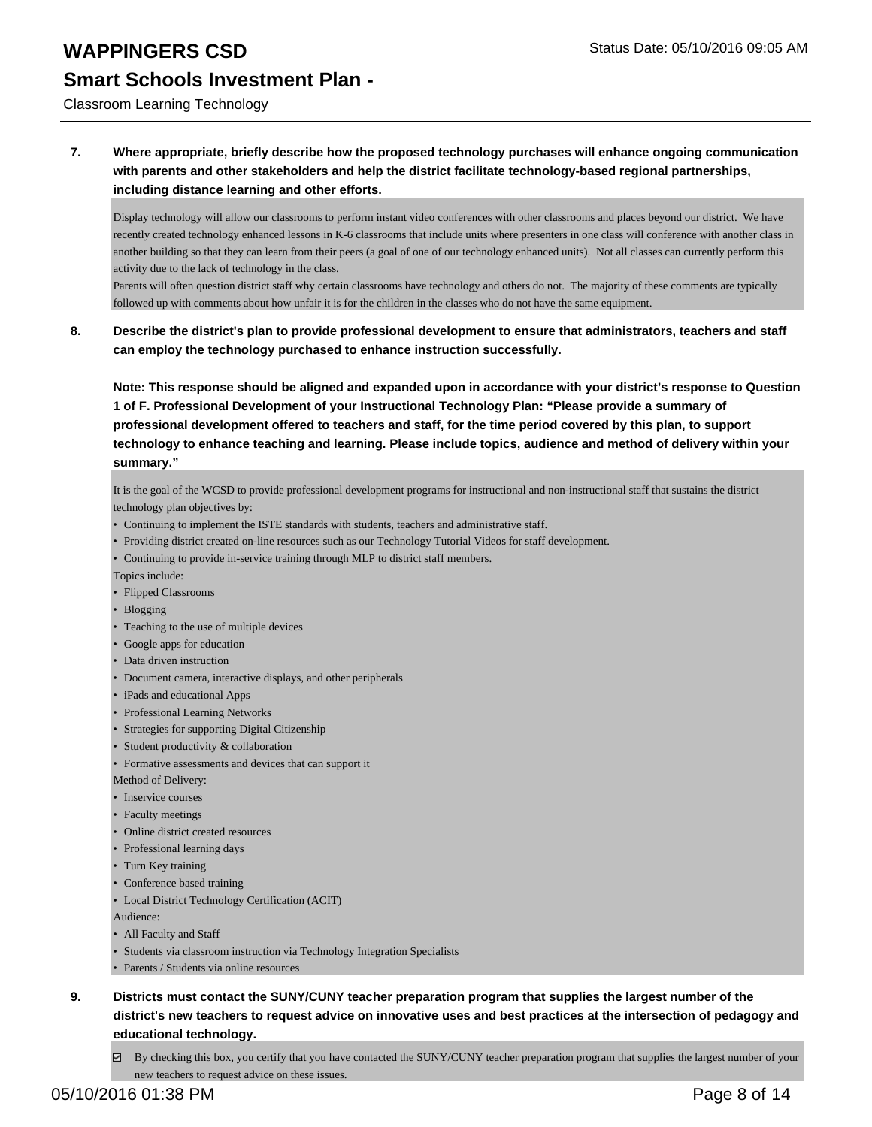Classroom Learning Technology

### **7. Where appropriate, briefly describe how the proposed technology purchases will enhance ongoing communication with parents and other stakeholders and help the district facilitate technology-based regional partnerships, including distance learning and other efforts.**

Display technology will allow our classrooms to perform instant video conferences with other classrooms and places beyond our district. We have recently created technology enhanced lessons in K-6 classrooms that include units where presenters in one class will conference with another class in another building so that they can learn from their peers (a goal of one of our technology enhanced units). Not all classes can currently perform this activity due to the lack of technology in the class.

Parents will often question district staff why certain classrooms have technology and others do not. The majority of these comments are typically followed up with comments about how unfair it is for the children in the classes who do not have the same equipment.

**8. Describe the district's plan to provide professional development to ensure that administrators, teachers and staff can employ the technology purchased to enhance instruction successfully.**

**Note: This response should be aligned and expanded upon in accordance with your district's response to Question 1 of F. Professional Development of your Instructional Technology Plan: "Please provide a summary of professional development offered to teachers and staff, for the time period covered by this plan, to support technology to enhance teaching and learning. Please include topics, audience and method of delivery within your summary."**

It is the goal of the WCSD to provide professional development programs for instructional and non-instructional staff that sustains the district technology plan objectives by:

- Continuing to implement the ISTE standards with students, teachers and administrative staff.
- Providing district created on-line resources such as our Technology Tutorial Videos for staff development.
- Continuing to provide in-service training through MLP to district staff members.

Topics include:

- Flipped Classrooms
- Blogging
- Teaching to the use of multiple devices
- Google apps for education
- Data driven instruction
- Document camera, interactive displays, and other peripherals
- iPads and educational Apps
- Professional Learning Networks
- Strategies for supporting Digital Citizenship
- Student productivity & collaboration
- Formative assessments and devices that can support it

Method of Delivery:

- Inservice courses
- Faculty meetings
- Online district created resources
- Professional learning days
- Turn Key training
- Conference based training
- Local District Technology Certification (ACIT)

Audience:

- All Faculty and Staff
- Students via classroom instruction via Technology Integration Specialists
- Parents / Students via online resources
- **9. Districts must contact the SUNY/CUNY teacher preparation program that supplies the largest number of the district's new teachers to request advice on innovative uses and best practices at the intersection of pedagogy and educational technology.**
	- $\boxtimes$  By checking this box, you certify that you have contacted the SUNY/CUNY teacher preparation program that supplies the largest number of your new teachers to request advice on these issues.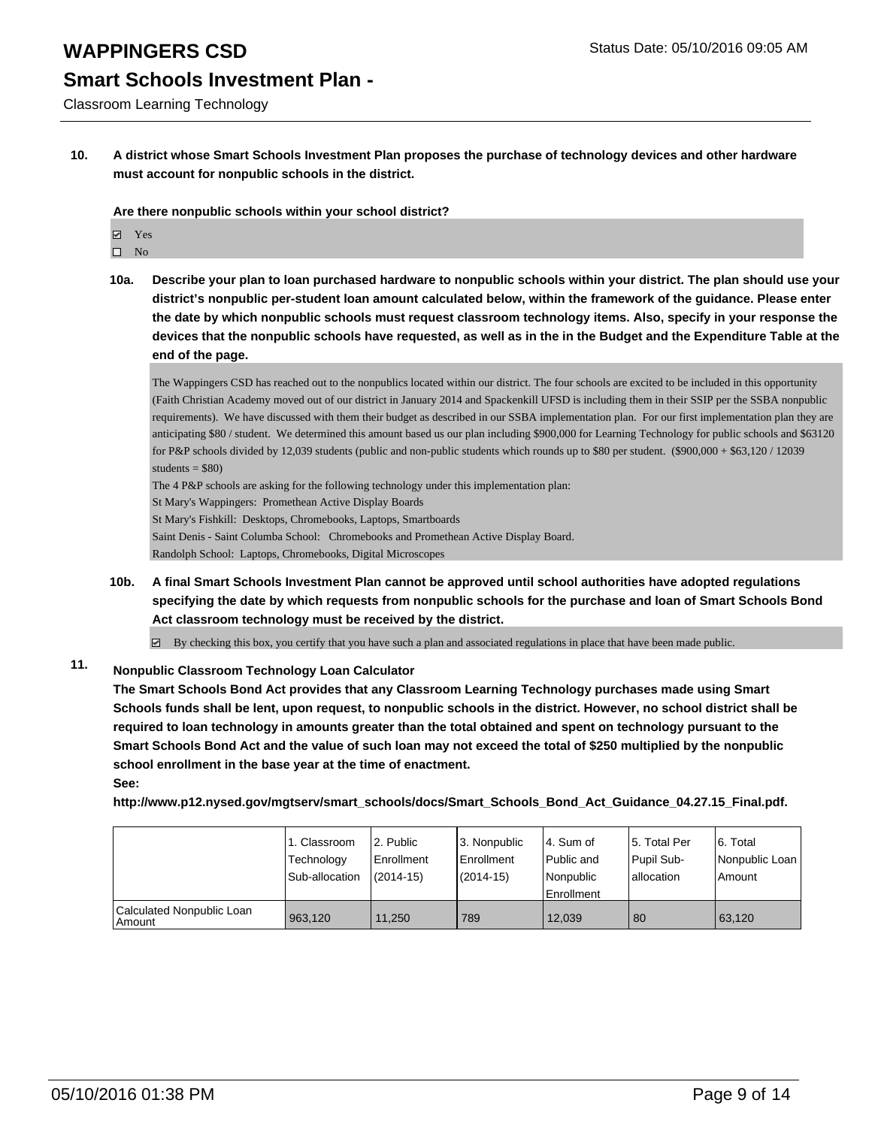# **Smart Schools Investment Plan -**

Classroom Learning Technology

**10. A district whose Smart Schools Investment Plan proposes the purchase of technology devices and other hardware must account for nonpublic schools in the district.**

### **Are there nonpublic schools within your school district?**

- **冈** Yes
- $\square$  No
- **10a. Describe your plan to loan purchased hardware to nonpublic schools within your district. The plan should use your district's nonpublic per-student loan amount calculated below, within the framework of the guidance. Please enter the date by which nonpublic schools must request classroom technology items. Also, specify in your response the devices that the nonpublic schools have requested, as well as in the in the Budget and the Expenditure Table at the end of the page.**

The Wappingers CSD has reached out to the nonpublics located within our district. The four schools are excited to be included in this opportunity (Faith Christian Academy moved out of our district in January 2014 and Spackenkill UFSD is including them in their SSIP per the SSBA nonpublic requirements). We have discussed with them their budget as described in our SSBA implementation plan. For our first implementation plan they are anticipating \$80 / student. We determined this amount based us our plan including \$900,000 for Learning Technology for public schools and \$63120 for P&P schools divided by 12,039 students (public and non-public students which rounds up to \$80 per student.  $(\$900,000 + \$63,120 / 12039$ students  $= $80$ )

The 4 P&P schools are asking for the following technology under this implementation plan:

St Mary's Wappingers: Promethean Active Display Boards

St Mary's Fishkill: Desktops, Chromebooks, Laptops, Smartboards

Saint Denis - Saint Columba School: Chromebooks and Promethean Active Display Board.

Randolph School: Laptops, Chromebooks, Digital Microscopes

**10b. A final Smart Schools Investment Plan cannot be approved until school authorities have adopted regulations specifying the date by which requests from nonpublic schools for the purchase and loan of Smart Schools Bond Act classroom technology must be received by the district.**

 $\overline{\phantom{a}}$ By checking this box, you certify that you have such a plan and associated regulations in place that have been made public.

### **11. Nonpublic Classroom Technology Loan Calculator**

**The Smart Schools Bond Act provides that any Classroom Learning Technology purchases made using Smart Schools funds shall be lent, upon request, to nonpublic schools in the district. However, no school district shall be required to loan technology in amounts greater than the total obtained and spent on technology pursuant to the Smart Schools Bond Act and the value of such loan may not exceed the total of \$250 multiplied by the nonpublic school enrollment in the base year at the time of enactment. See:**

**http://www.p12.nysed.gov/mgtserv/smart\_schools/docs/Smart\_Schools\_Bond\_Act\_Guidance\_04.27.15\_Final.pdf.**

|                                       | 1. Classroom<br>Technology<br>Sub-allocation | 2. Public<br>l Enrollment<br>$(2014-15)$ | l 3. Nonpublic<br><b>Enrollment</b><br>$(2014 - 15)$ | 4. Sum of<br>Public and<br>Nonpublic<br><b>Enrollment</b> | 5. Total Per<br>Pupil Sub-<br>lallocation | 6. Total<br>Nonpublic Loan<br>Amount |
|---------------------------------------|----------------------------------------------|------------------------------------------|------------------------------------------------------|-----------------------------------------------------------|-------------------------------------------|--------------------------------------|
| Calculated Nonpublic Loan<br>l Amount | 963.120                                      | 11.250                                   | 789                                                  | 12.039                                                    | 80                                        | 63.120                               |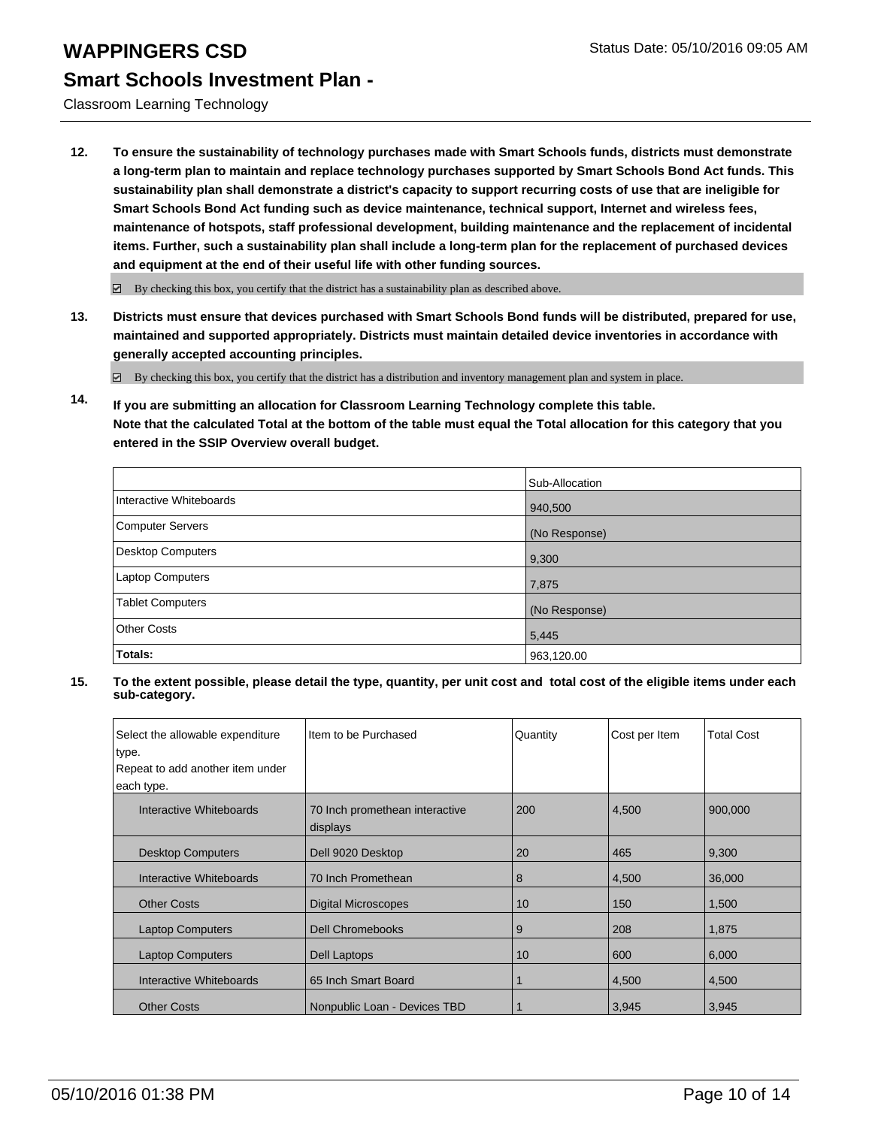Classroom Learning Technology

**12. To ensure the sustainability of technology purchases made with Smart Schools funds, districts must demonstrate a long-term plan to maintain and replace technology purchases supported by Smart Schools Bond Act funds. This sustainability plan shall demonstrate a district's capacity to support recurring costs of use that are ineligible for Smart Schools Bond Act funding such as device maintenance, technical support, Internet and wireless fees, maintenance of hotspots, staff professional development, building maintenance and the replacement of incidental items. Further, such a sustainability plan shall include a long-term plan for the replacement of purchased devices and equipment at the end of their useful life with other funding sources.**

 $\boxdot$  By checking this box, you certify that the district has a sustainability plan as described above.

**13. Districts must ensure that devices purchased with Smart Schools Bond funds will be distributed, prepared for use, maintained and supported appropriately. Districts must maintain detailed device inventories in accordance with generally accepted accounting principles.**

By checking this box, you certify that the district has a distribution and inventory management plan and system in place.

**14. If you are submitting an allocation for Classroom Learning Technology complete this table. Note that the calculated Total at the bottom of the table must equal the Total allocation for this category that you entered in the SSIP Overview overall budget.**

|                         | Sub-Allocation |
|-------------------------|----------------|
| Interactive Whiteboards | 940,500        |
| <b>Computer Servers</b> | (No Response)  |
| Desktop Computers       | 9,300          |
| <b>Laptop Computers</b> | 7,875          |
| Tablet Computers        | (No Response)  |
| <b>Other Costs</b>      | 5,445          |
| Totals:                 | 963,120.00     |

| Select the allowable expenditure<br>type.<br>Repeat to add another item under | Item to be Purchased                       | Quantity | Cost per Item | <b>Total Cost</b> |
|-------------------------------------------------------------------------------|--------------------------------------------|----------|---------------|-------------------|
| each type.<br>Interactive Whiteboards                                         | 70 Inch promethean interactive<br>displays | 200      | 4,500         | 900,000           |
| <b>Desktop Computers</b>                                                      | Dell 9020 Desktop                          | 20       | 465           | 9,300             |
| Interactive Whiteboards                                                       | 70 Inch Promethean                         | 8        | 4,500         | 36,000            |
| <b>Other Costs</b>                                                            | <b>Digital Microscopes</b>                 | 10       | 150           | 1,500             |
| <b>Laptop Computers</b>                                                       | <b>Dell Chromebooks</b>                    | 9        | 208           | 1,875             |
| <b>Laptop Computers</b>                                                       | Dell Laptops                               | 10       | 600           | 6,000             |
| Interactive Whiteboards                                                       | 65 Inch Smart Board                        |          | 4,500         | 4,500             |
| <b>Other Costs</b>                                                            | Nonpublic Loan - Devices TBD               |          | 3,945         | 3,945             |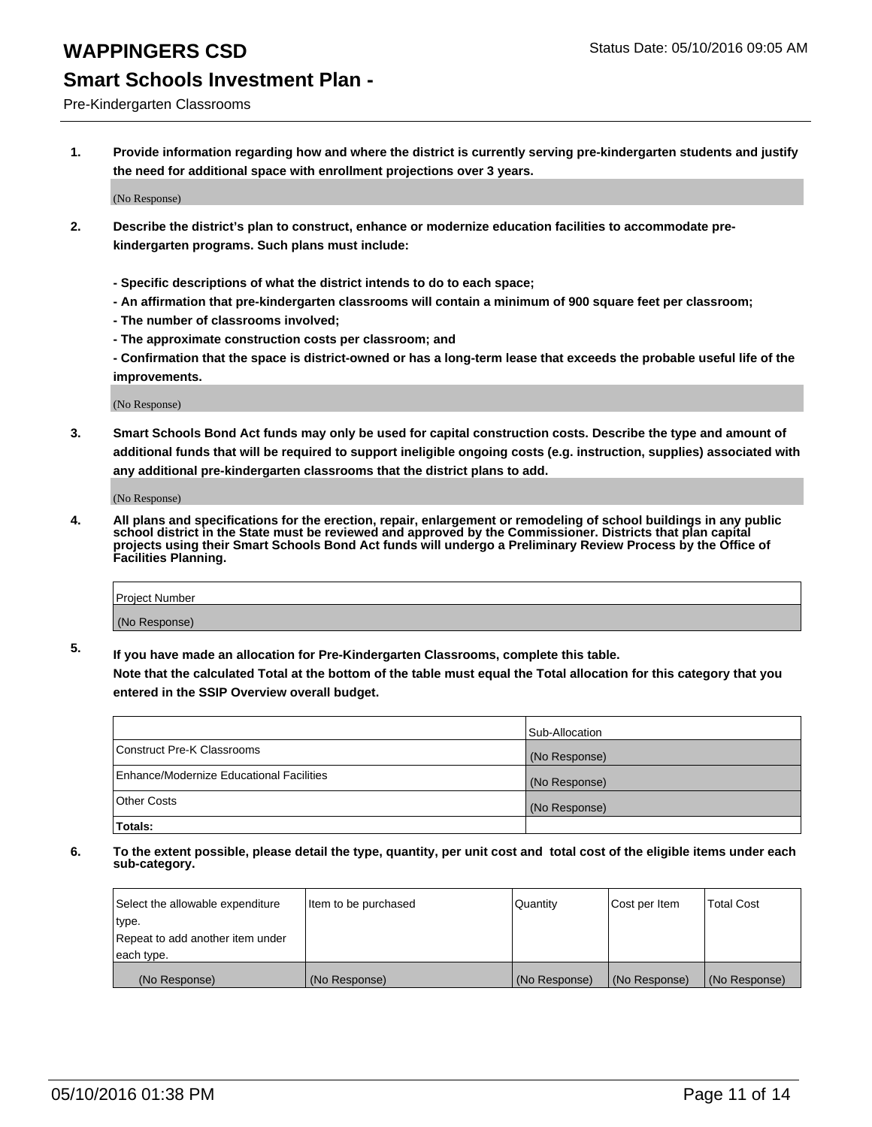### Pre-Kindergarten Classrooms

**1. Provide information regarding how and where the district is currently serving pre-kindergarten students and justify the need for additional space with enrollment projections over 3 years.**

(No Response)

- **2. Describe the district's plan to construct, enhance or modernize education facilities to accommodate prekindergarten programs. Such plans must include:**
	- **Specific descriptions of what the district intends to do to each space;**
	- **An affirmation that pre-kindergarten classrooms will contain a minimum of 900 square feet per classroom;**
	- **The number of classrooms involved;**
	- **The approximate construction costs per classroom; and**
	- **Confirmation that the space is district-owned or has a long-term lease that exceeds the probable useful life of the improvements.**

(No Response)

**3. Smart Schools Bond Act funds may only be used for capital construction costs. Describe the type and amount of additional funds that will be required to support ineligible ongoing costs (e.g. instruction, supplies) associated with any additional pre-kindergarten classrooms that the district plans to add.**

(No Response)

**4. All plans and specifications for the erection, repair, enlargement or remodeling of school buildings in any public school district in the State must be reviewed and approved by the Commissioner. Districts that plan capital projects using their Smart Schools Bond Act funds will undergo a Preliminary Review Process by the Office of Facilities Planning.**

| Project Number |  |
|----------------|--|
| (No Response)  |  |

**5. If you have made an allocation for Pre-Kindergarten Classrooms, complete this table. Note that the calculated Total at the bottom of the table must equal the Total allocation for this category that you**

**entered in the SSIP Overview overall budget.**

|                                          | Sub-Allocation |
|------------------------------------------|----------------|
| Construct Pre-K Classrooms               | (No Response)  |
| Enhance/Modernize Educational Facilities | (No Response)  |
| Other Costs                              | (No Response)  |
| Totals:                                  |                |

| Select the allowable expenditure | Item to be purchased | Quantity      | Cost per Item | <b>Total Cost</b> |
|----------------------------------|----------------------|---------------|---------------|-------------------|
| type.                            |                      |               |               |                   |
| Repeat to add another item under |                      |               |               |                   |
| each type.                       |                      |               |               |                   |
| (No Response)                    | (No Response)        | (No Response) | (No Response) | (No Response)     |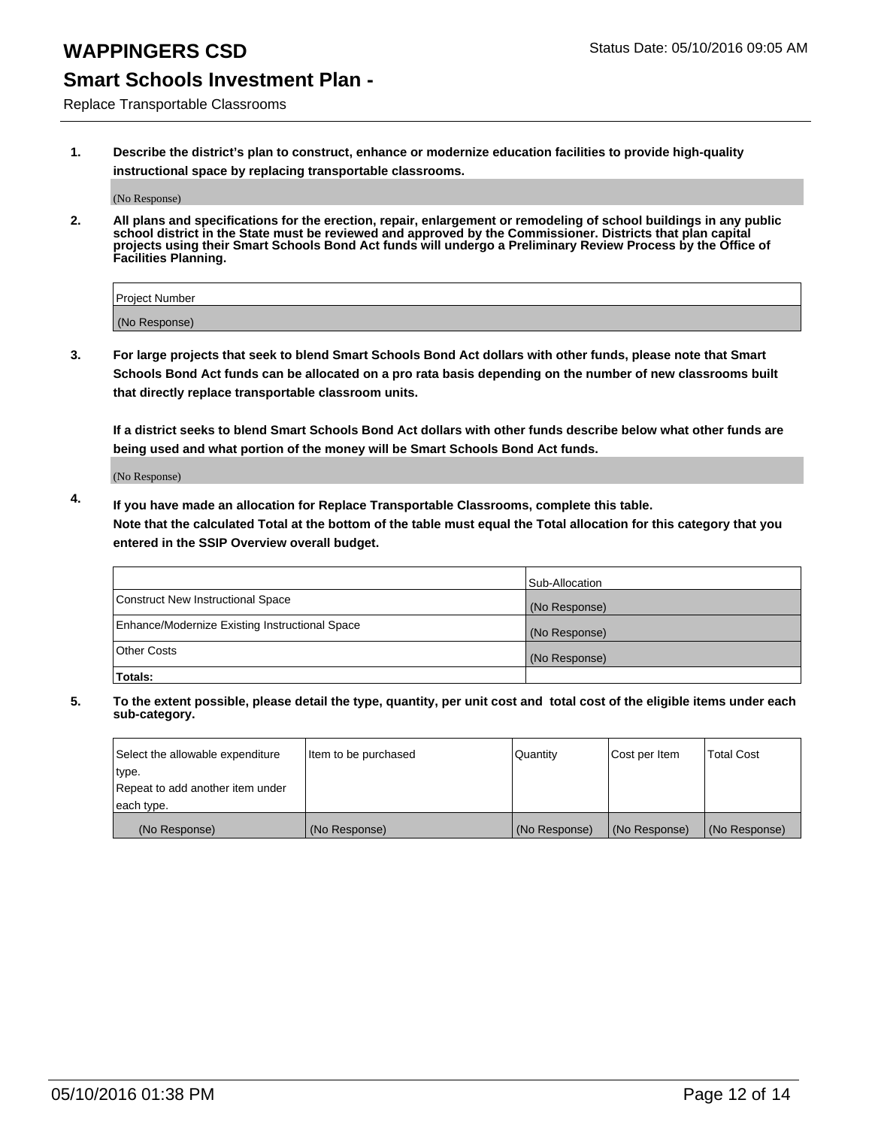## **WAPPINGERS CSD** Status Date: 05/10/2016 09:05 AM

### **Smart Schools Investment Plan -**

Replace Transportable Classrooms

**1. Describe the district's plan to construct, enhance or modernize education facilities to provide high-quality instructional space by replacing transportable classrooms.**

(No Response)

**2. All plans and specifications for the erection, repair, enlargement or remodeling of school buildings in any public school district in the State must be reviewed and approved by the Commissioner. Districts that plan capital projects using their Smart Schools Bond Act funds will undergo a Preliminary Review Process by the Office of Facilities Planning.**

| Project Number |  |
|----------------|--|
| (No Response)  |  |

**3. For large projects that seek to blend Smart Schools Bond Act dollars with other funds, please note that Smart Schools Bond Act funds can be allocated on a pro rata basis depending on the number of new classrooms built that directly replace transportable classroom units.**

**If a district seeks to blend Smart Schools Bond Act dollars with other funds describe below what other funds are being used and what portion of the money will be Smart Schools Bond Act funds.**

(No Response)

**4. If you have made an allocation for Replace Transportable Classrooms, complete this table. Note that the calculated Total at the bottom of the table must equal the Total allocation for this category that you entered in the SSIP Overview overall budget.**

|                                                | Sub-Allocation |
|------------------------------------------------|----------------|
| Construct New Instructional Space              | (No Response)  |
| Enhance/Modernize Existing Instructional Space | (No Response)  |
| <b>Other Costs</b>                             | (No Response)  |
| Totals:                                        |                |

| Select the allowable expenditure | Item to be purchased | <b>Quantity</b> | Cost per Item | <b>Total Cost</b> |
|----------------------------------|----------------------|-----------------|---------------|-------------------|
| type.                            |                      |                 |               |                   |
| Repeat to add another item under |                      |                 |               |                   |
| each type.                       |                      |                 |               |                   |
| (No Response)                    | (No Response)        | (No Response)   | (No Response) | (No Response)     |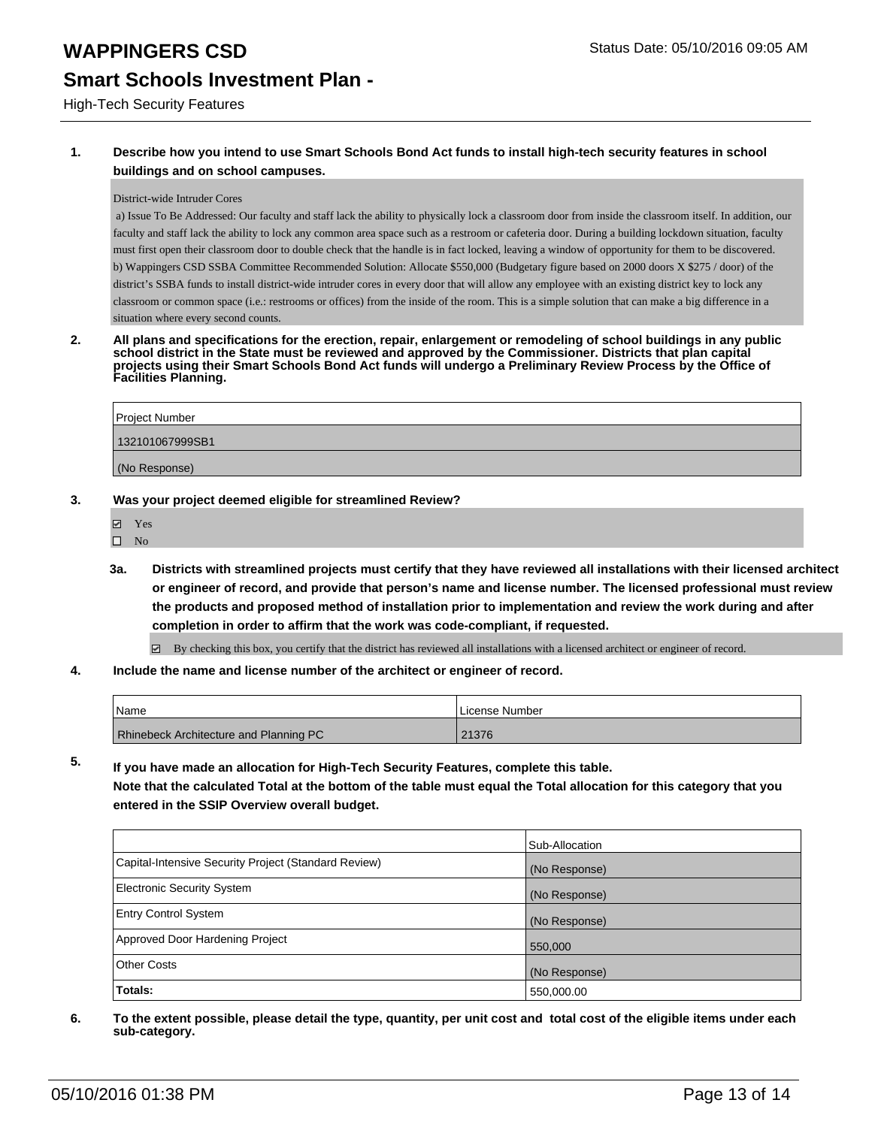#### High-Tech Security Features

### **1. Describe how you intend to use Smart Schools Bond Act funds to install high-tech security features in school buildings and on school campuses.**

#### District-wide Intruder Cores

 a) Issue To Be Addressed: Our faculty and staff lack the ability to physically lock a classroom door from inside the classroom itself. In addition, our faculty and staff lack the ability to lock any common area space such as a restroom or cafeteria door. During a building lockdown situation, faculty must first open their classroom door to double check that the handle is in fact locked, leaving a window of opportunity for them to be discovered. b) Wappingers CSD SSBA Committee Recommended Solution: Allocate \$550,000 (Budgetary figure based on 2000 doors X \$275 / door) of the district's SSBA funds to install district-wide intruder cores in every door that will allow any employee with an existing district key to lock any classroom or common space (i.e.: restrooms or offices) from the inside of the room. This is a simple solution that can make a big difference in a situation where every second counts.

**2. All plans and specifications for the erection, repair, enlargement or remodeling of school buildings in any public school district in the State must be reviewed and approved by the Commissioner. Districts that plan capital projects using their Smart Schools Bond Act funds will undergo a Preliminary Review Process by the Office of Facilities Planning.** 

| Project Number  |  |
|-----------------|--|
| 132101067999SB1 |  |
| (No Response)   |  |

#### **3. Was your project deemed eligible for streamlined Review?**

- Yes
- $\square$  No
- **3a. Districts with streamlined projects must certify that they have reviewed all installations with their licensed architect or engineer of record, and provide that person's name and license number. The licensed professional must review the products and proposed method of installation prior to implementation and review the work during and after completion in order to affirm that the work was code-compliant, if requested.**

 $\boxtimes$  By checking this box, you certify that the district has reviewed all installations with a licensed architect or engineer of record.

**4. Include the name and license number of the architect or engineer of record.**

| l Name                                        | License Number |
|-----------------------------------------------|----------------|
| <b>Rhinebeck Architecture and Planning PC</b> | 21376          |

**5. If you have made an allocation for High-Tech Security Features, complete this table. Note that the calculated Total at the bottom of the table must equal the Total allocation for this category that you entered in the SSIP Overview overall budget.**

|                                                      | Sub-Allocation |
|------------------------------------------------------|----------------|
| Capital-Intensive Security Project (Standard Review) | (No Response)  |
| <b>Electronic Security System</b>                    | (No Response)  |
| <b>Entry Control System</b>                          | (No Response)  |
| Approved Door Hardening Project                      | 550,000        |
| <b>Other Costs</b>                                   | (No Response)  |
| Totals:                                              | 550,000.00     |